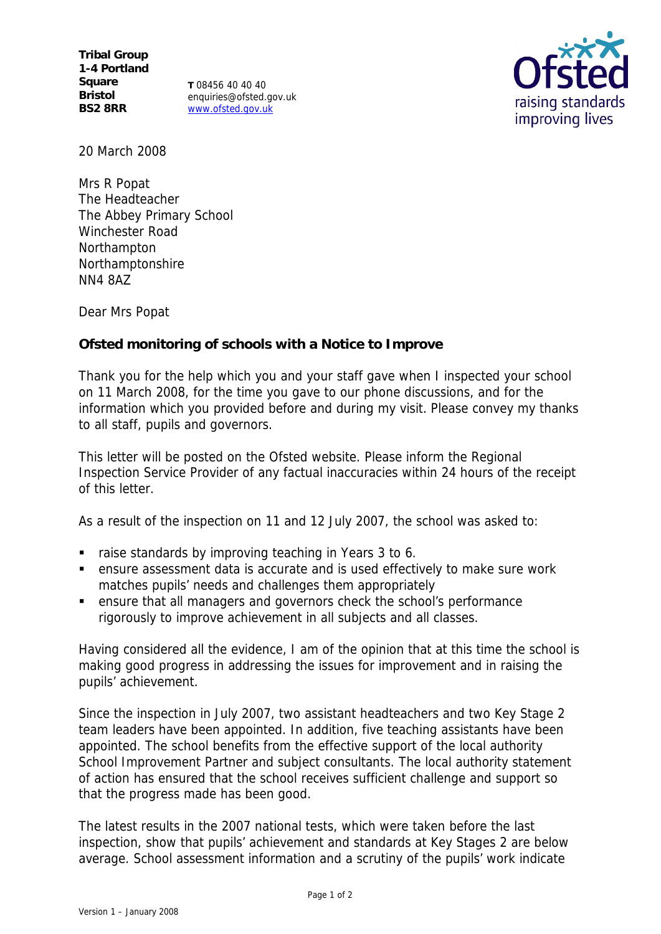**Tribal Group 1-4 Portland Square Bristol BS2 8RR**

**T** 08456 40 40 40 enquiries@ofsted.gov.uk www.ofsted.gov.uk



20 March 2008

Mrs R Popat The Headteacher The Abbey Primary School Winchester Road Northampton Northamptonshire NN4 8AZ

Dear Mrs Popat

**Ofsted monitoring of schools with a Notice to Improve**

Thank you for the help which you and your staff gave when I inspected your school on 11 March 2008, for the time you gave to our phone discussions, and for the information which you provided before and during my visit. Please convey my thanks to all staff, pupils and governors.

This letter will be posted on the Ofsted website. Please inform the Regional Inspection Service Provider of any factual inaccuracies within 24 hours of the receipt of this letter.

As a result of the inspection on 11 and 12 July 2007, the school was asked to:

- raise standards by improving teaching in Years 3 to 6.
- ensure assessment data is accurate and is used effectively to make sure work matches pupils' needs and challenges them appropriately
- ensure that all managers and governors check the school's performance rigorously to improve achievement in all subjects and all classes.

Having considered all the evidence, I am of the opinion that at this time the school is making good progress in addressing the issues for improvement and in raising the pupils' achievement.

Since the inspection in July 2007, two assistant headteachers and two Key Stage 2 team leaders have been appointed. In addition, five teaching assistants have been appointed. The school benefits from the effective support of the local authority School Improvement Partner and subject consultants. The local authority statement of action has ensured that the school receives sufficient challenge and support so that the progress made has been good.

The latest results in the 2007 national tests, which were taken before the last inspection, show that pupils' achievement and standards at Key Stages 2 are below average. School assessment information and a scrutiny of the pupils' work indicate